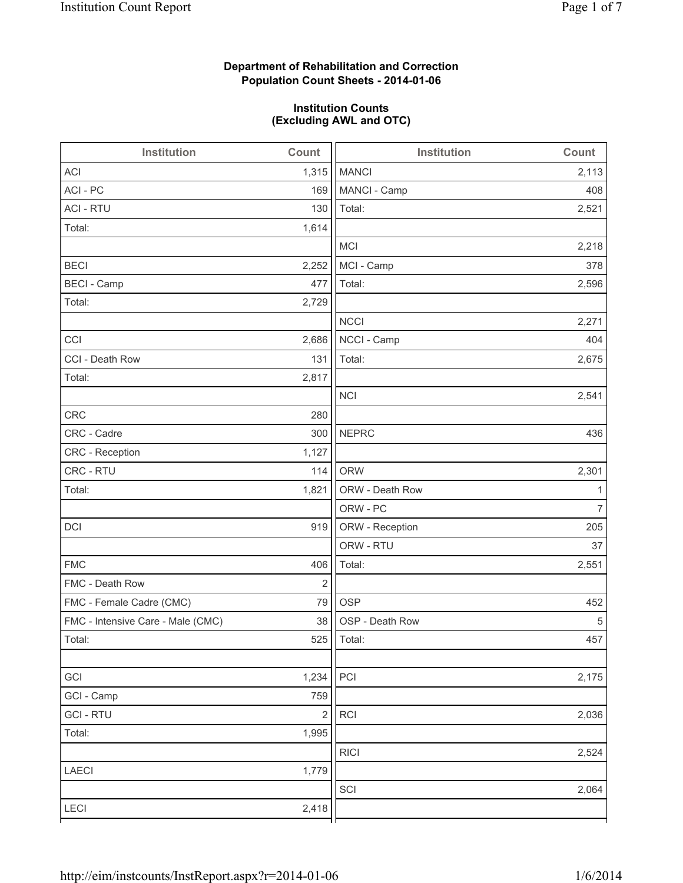# **Department of Rehabilitation and Correction Population Count Sheets - 2014-01-06**

# **Institution Counts (Excluding AWL and OTC)**

| Institution                       | Count                   | <b>Institution</b> | Count |
|-----------------------------------|-------------------------|--------------------|-------|
| <b>ACI</b>                        | 1,315                   | <b>MANCI</b>       | 2,113 |
| ACI - PC                          | 169                     | MANCI - Camp       | 408   |
| <b>ACI - RTU</b>                  | 130                     | Total:             | 2,521 |
| Total:                            | 1,614                   |                    |       |
|                                   |                         | <b>MCI</b>         | 2,218 |
| <b>BECI</b>                       | 2,252                   | MCI - Camp         | 378   |
| <b>BECI</b> - Camp                | 477                     | Total:             | 2,596 |
| Total:                            | 2,729                   |                    |       |
|                                   |                         | <b>NCCI</b>        | 2,271 |
| CCI                               | 2,686                   | NCCI - Camp        | 404   |
| CCI - Death Row                   | 131                     | Total:             | 2,675 |
| Total:                            | 2,817                   |                    |       |
|                                   |                         | <b>NCI</b>         | 2,541 |
| <b>CRC</b>                        | 280                     |                    |       |
| CRC - Cadre                       | 300                     | <b>NEPRC</b>       | 436   |
| CRC - Reception                   | 1,127                   |                    |       |
| CRC - RTU                         | 114                     | <b>ORW</b>         | 2,301 |
| Total:                            | 1,821                   | ORW - Death Row    | 1     |
|                                   |                         | ORW - PC           | 7     |
| DCI                               | 919                     | ORW - Reception    | 205   |
|                                   |                         | ORW - RTU          | 37    |
| <b>FMC</b>                        | 406                     | Total:             | 2,551 |
| FMC - Death Row                   | $\mathbf 2$             |                    |       |
| FMC - Female Cadre (CMC)          | 79                      | <b>OSP</b>         | 452   |
| FMC - Intensive Care - Male (CMC) | 38                      | OSP - Death Row    | 5     |
| Total:                            |                         | 525   Total:       | 457   |
|                                   |                         |                    |       |
| GCI                               | 1,234                   | PCI                | 2,175 |
| GCI - Camp                        | 759                     |                    |       |
| <b>GCI-RTU</b>                    | $\overline{\mathbf{c}}$ | RCI                | 2,036 |
| Total:                            | 1,995                   |                    |       |
|                                   |                         | <b>RICI</b>        | 2,524 |
| LAECI                             | 1,779                   |                    |       |
|                                   |                         | SCI                | 2,064 |
| LECI                              | 2,418                   |                    |       |
|                                   |                         |                    |       |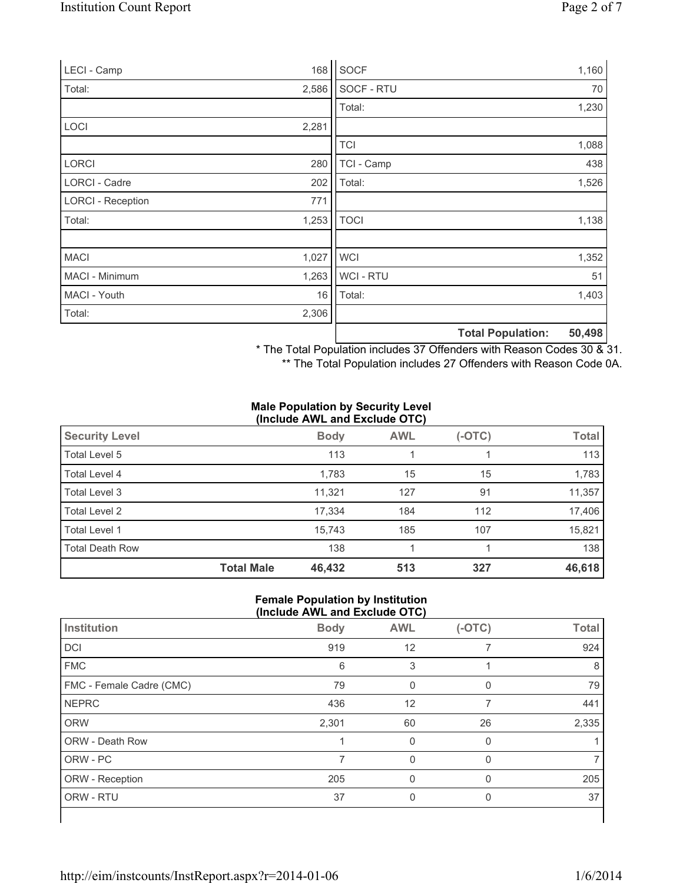| LECI - Camp              | 168   | SOCF        |                          | 1,160  |
|--------------------------|-------|-------------|--------------------------|--------|
| Total:                   | 2,586 | SOCF - RTU  |                          | 70     |
|                          |       | Total:      |                          | 1,230  |
| <b>LOCI</b>              | 2,281 |             |                          |        |
|                          |       | <b>TCI</b>  |                          | 1,088  |
| <b>LORCI</b>             | 280   | TCI - Camp  |                          | 438    |
| LORCI - Cadre            | 202   | Total:      |                          | 1,526  |
| <b>LORCI - Reception</b> | 771   |             |                          |        |
| Total:                   | 1,253 | <b>TOCI</b> |                          | 1,138  |
|                          |       |             |                          |        |
| <b>MACI</b>              | 1,027 | <b>WCI</b>  |                          | 1,352  |
| MACI - Minimum           | 1,263 | WCI - RTU   |                          | 51     |
| MACI - Youth             | 16    | Total:      |                          | 1,403  |
| Total:                   | 2,306 |             |                          |        |
|                          |       |             | <b>Total Population:</b> | 50,498 |

\* The Total Population includes 37 Offenders with Reason Codes 30 & 31.

\*\* The Total Population includes 27 Offenders with Reason Code 0A.

#### **Male Population by Security Level (Include AWL and Exclude OTC)**

| <b>Security Level</b>  |                   | <b>Body</b> | <b>AWL</b> | $(-OTC)$ | <b>Total</b> |
|------------------------|-------------------|-------------|------------|----------|--------------|
| Total Level 5          |                   | 113         |            |          | 113          |
| Total Level 4          |                   | 1,783       | 15         | 15       | 1,783        |
| Total Level 3          |                   | 11,321      | 127        | 91       | 11,357       |
| Total Level 2          |                   | 17,334      | 184        | 112      | 17,406       |
| Total Level 1          |                   | 15.743      | 185        | 107      | 15,821       |
| <b>Total Death Row</b> |                   | 138         |            |          | 138          |
|                        | <b>Total Male</b> | 46,432      | 513        | 327      | 46,618       |

### **Female Population by Institution (Include AWL and Exclude OTC)**

| Institution              | <b>Body</b> | <b>AWL</b> | $(-OTC)$ | <b>Total</b> |
|--------------------------|-------------|------------|----------|--------------|
| DCI                      | 919         | 12         |          | 924          |
| <b>FMC</b>               | 6           | 3          |          | 8            |
| FMC - Female Cadre (CMC) | 79          | 0          | $\Omega$ | 79           |
| <b>NEPRC</b>             | 436         | 12         | 7        | 441          |
| <b>ORW</b>               | 2,301       | 60         | 26       | 2,335        |
| ORW - Death Row          |             | 0          | 0        |              |
| ORW - PC                 | 7           | $\Omega$   | $\Omega$ |              |
| ORW - Reception          | 205         |            |          | 205          |
| ORW - RTU                | 37          | 0          | $\Omega$ | 37           |
|                          |             |            |          |              |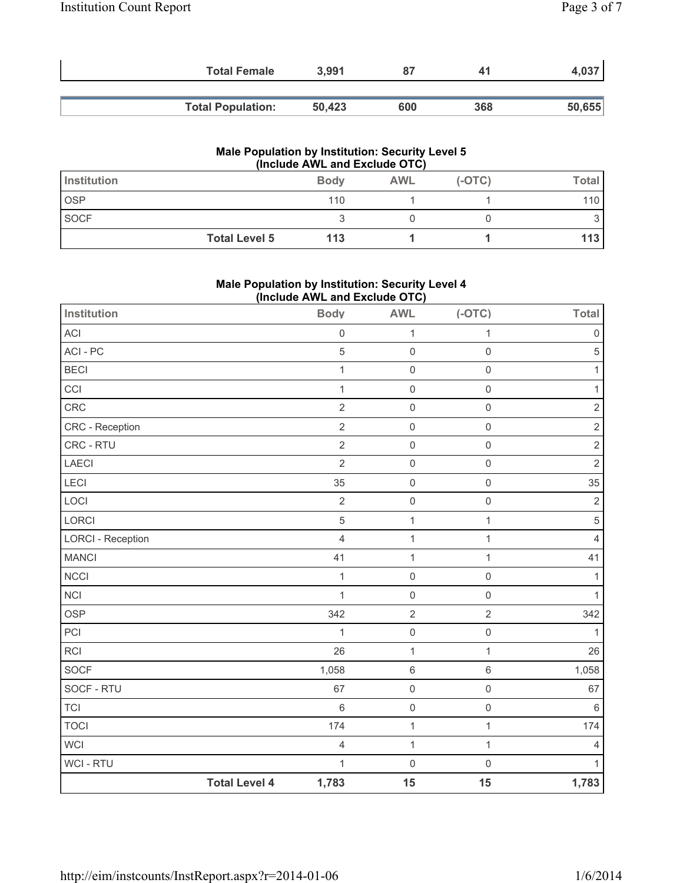| <b>Total Female</b>      | 3,991  |     | 41  | 4,037  |
|--------------------------|--------|-----|-----|--------|
| <b>Total Population:</b> | 50.423 | 600 | 368 | 50,655 |

### **Male Population by Institution: Security Level 5 (Include AWL and Exclude OTC)**

| Institution |                      | <b>Body</b> | <b>AWL</b> | $(-OTC)$ | Total |
|-------------|----------------------|-------------|------------|----------|-------|
| <b>OSP</b>  |                      | 110         |            |          | 110   |
| <b>SOCF</b> |                      |             |            |          |       |
|             | <b>Total Level 5</b> | 113         |            |          | 113   |

### **Male Population by Institution: Security Level 4 (Include AWL and Exclude OTC)**

| Institution              |                      | <b>Body</b>         | . ,<br><b>AWL</b>   | $(-OTC)$            | <b>Total</b>   |
|--------------------------|----------------------|---------------------|---------------------|---------------------|----------------|
| ACI                      |                      | $\mathsf{O}\xspace$ | 1                   | $\mathbf{1}$        | $\mathbf 0$    |
| ACI - PC                 |                      | 5                   | $\mathsf{O}\xspace$ | $\mathsf 0$         | $\sqrt{5}$     |
| <b>BECI</b>              |                      | $\mathbf 1$         | $\mathsf 0$         | $\mathsf{O}\xspace$ | 1              |
| CCI                      |                      | $\mathbf 1$         | $\mathsf{O}\xspace$ | $\mathsf{O}\xspace$ | 1              |
| CRC                      |                      | $\overline{2}$      | $\mathsf{O}\xspace$ | $\mathsf{O}\xspace$ | $\mathbf 2$    |
| CRC - Reception          |                      | $\overline{2}$      | $\mathsf 0$         | $\mathbf 0$         | $\sqrt{2}$     |
| CRC - RTU                |                      | $\overline{2}$      | $\mathsf{O}\xspace$ | $\mathsf{O}\xspace$ | $\sqrt{2}$     |
| LAECI                    |                      | $\overline{2}$      | $\mathsf 0$         | $\mathsf{O}\xspace$ | $\overline{2}$ |
| <b>LECI</b>              |                      | 35                  | $\mathsf{O}\xspace$ | $\mathsf 0$         | 35             |
| LOCI                     |                      | $\overline{2}$      | $\mathsf{O}\xspace$ | $\mathsf 0$         | $\overline{2}$ |
| LORCI                    |                      | 5                   | $\mathbf{1}$        | $\mathbf{1}$        | $\,$ 5 $\,$    |
| <b>LORCI - Reception</b> |                      | $\overline{4}$      | $\mathbf 1$         | $\mathbf{1}$        | 4              |
| <b>MANCI</b>             |                      | 41                  | 1                   | 1                   | 41             |
| <b>NCCI</b>              |                      | $\mathbf 1$         | $\mathsf 0$         | $\mathsf 0$         | $\mathbf{1}$   |
| <b>NCI</b>               |                      | $\mathbf{1}$        | $\mathsf 0$         | $\mathbf 0$         | 1              |
| <b>OSP</b>               |                      | 342                 | $\overline{2}$      | $\sqrt{2}$          | 342            |
| PCI                      |                      | $\mathbf{1}$        | $\mathsf{O}\xspace$ | $\mathsf{O}\xspace$ | 1              |
| <b>RCI</b>               |                      | 26                  | 1                   | $\mathbf{1}$        | 26             |
| SOCF                     |                      | 1,058               | $\,6\,$             | $\,6\,$             | 1,058          |
| SOCF - RTU               |                      | 67                  | $\mathsf 0$         | $\mathsf{O}\xspace$ | 67             |
| <b>TCI</b>               |                      | 6                   | $\mathsf{O}\xspace$ | $\mathsf 0$         | 6              |
| <b>TOCI</b>              |                      | 174                 | $\mathbf 1$         | $\mathbf{1}$        | 174            |
| <b>WCI</b>               |                      | 4                   | $\mathbf 1$         | $\mathbf{1}$        | 4              |
| <b>WCI-RTU</b>           |                      | $\mathbf{1}$        | $\mathbf 0$         | $\mathbf 0$         | 1              |
|                          | <b>Total Level 4</b> | 1,783               | 15                  | 15                  | 1,783          |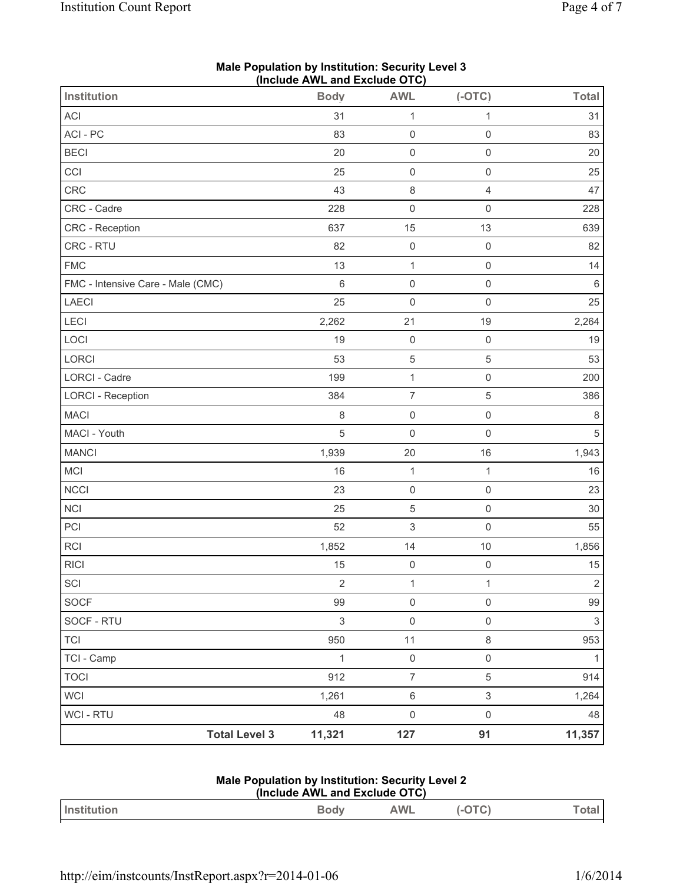| <b>Institution</b>                | $($ iliciuut Africaliu Laciuut OTO $)$<br><b>Body</b> | <b>AWL</b>          | $(-OTC)$            | <b>Total</b>   |
|-----------------------------------|-------------------------------------------------------|---------------------|---------------------|----------------|
| <b>ACI</b>                        | 31                                                    | $\mathbf{1}$        | $\mathbf{1}$        | 31             |
| ACI-PC                            | 83                                                    | $\mathsf{O}\xspace$ | $\mathsf{O}\xspace$ | 83             |
| <b>BECI</b>                       | 20                                                    | $\mathsf 0$         | $\mathsf{O}\xspace$ | 20             |
| CCI                               | 25                                                    | $\mathsf{O}\xspace$ | $\mathsf{O}\xspace$ | 25             |
| CRC                               | 43                                                    | $\,8\,$             | $\overline{4}$      | 47             |
| CRC - Cadre                       | 228                                                   | $\mathsf{O}\xspace$ | $\mathsf 0$         | 228            |
| CRC - Reception                   | 637                                                   | 15                  | 13                  | 639            |
| CRC - RTU                         | 82                                                    | $\mathsf 0$         | $\mathsf{O}\xspace$ | 82             |
| <b>FMC</b>                        | 13                                                    | $\mathbf{1}$        | $\mathsf{O}\xspace$ | 14             |
| FMC - Intensive Care - Male (CMC) | 6                                                     | $\mathsf{O}\xspace$ | $\mathsf{O}\xspace$ | $\,6\,$        |
| <b>LAECI</b>                      | 25                                                    | $\mathsf{O}\xspace$ | $\mathsf{O}\xspace$ | 25             |
| LECI                              | 2,262                                                 | 21                  | 19                  | 2,264          |
| LOCI                              | 19                                                    | $\mathsf 0$         | $\mathsf{O}\xspace$ | 19             |
| LORCI                             | 53                                                    | 5                   | 5                   | 53             |
| <b>LORCI - Cadre</b>              | 199                                                   | $\mathbf 1$         | $\mathsf{O}\xspace$ | 200            |
| <b>LORCI - Reception</b>          | 384                                                   | $\overline{7}$      | 5                   | 386            |
| <b>MACI</b>                       | 8                                                     | $\mathsf{O}\xspace$ | $\mathsf{O}\xspace$ | $\,8\,$        |
| MACI - Youth                      | 5                                                     | $\mathsf 0$         | $\mathsf{O}\xspace$ | 5              |
| <b>MANCI</b>                      | 1,939                                                 | 20                  | 16                  | 1,943          |
| MCI                               | 16                                                    | $\mathbf{1}$        | $\mathbf{1}$        | 16             |
| <b>NCCI</b>                       | 23                                                    | $\mathsf{O}\xspace$ | $\mathsf{O}\xspace$ | 23             |
| <b>NCI</b>                        | 25                                                    | $\sqrt{5}$          | $\mathsf{O}\xspace$ | 30             |
| PCI                               | 52                                                    | 3                   | $\mathsf{O}\xspace$ | 55             |
| <b>RCI</b>                        | 1,852                                                 | 14                  | $10$                | 1,856          |
| <b>RICI</b>                       | 15                                                    | $\mathsf 0$         | $\mathsf{O}\xspace$ | 15             |
| SCI                               | $\overline{2}$                                        | $\mathbf 1$         | $\mathbf{1}$        | $\overline{2}$ |
| SOCF                              | 99                                                    | $\mathsf{O}\xspace$ | $\mathsf{O}\xspace$ | 99             |
| SOCF - RTU                        | $\mathfrak{S}$                                        | $\mathsf{O}\xspace$ | $\mathsf{O}\xspace$ | $\mathfrak{S}$ |
| <b>TCI</b>                        | 950                                                   | 11                  | 8                   | 953            |
| TCI - Camp                        | $\mathbf{1}$                                          | $\mathsf{O}\xspace$ | $\mathsf{O}\xspace$ | $\mathbf{1}$   |
| <b>TOCI</b>                       | 912                                                   | $\overline{7}$      | 5                   | 914            |
| <b>WCI</b>                        | 1,261                                                 | $\,6\,$             | 3                   | 1,264          |
| <b>WCI - RTU</b>                  | 48                                                    | $\mathsf{O}\xspace$ | $\mathsf{O}\xspace$ | 48             |
| <b>Total Level 3</b>              | 11,321                                                | 127                 | 91                  | 11,357         |

### **Male Population by Institution: Security Level 3 (Include AWL and Exclude OTC)**

#### **Male Population by Institution: Security Level 2 (Include AWL and Exclude OTC)**

|            | $\frac{1}{1}$ |   |  |
|------------|---------------|---|--|
| Institutio |               | w |  |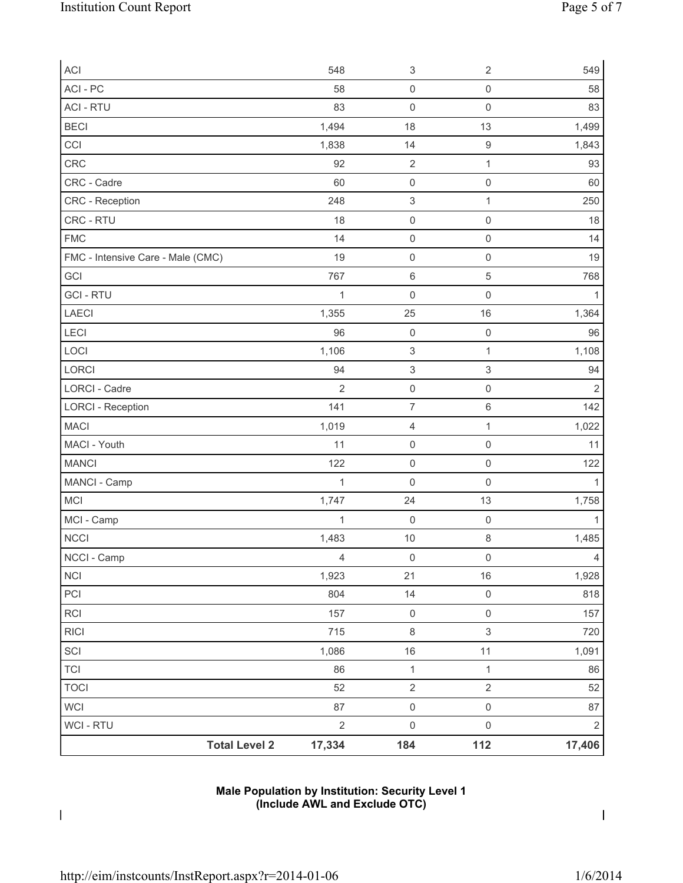| <b>ACI</b>                        | 548            | $\ensuremath{\mathsf{3}}$ | $\sqrt{2}$                | 549            |
|-----------------------------------|----------------|---------------------------|---------------------------|----------------|
| ACI-PC                            | 58             | $\mathsf{O}\xspace$       | $\mathbf 0$               | 58             |
| <b>ACI - RTU</b>                  | 83             | $\mathsf{O}\xspace$       | $\mathsf{O}\xspace$       | 83             |
| <b>BECI</b>                       | 1,494          | 18                        | 13                        | 1,499          |
| CCI                               | 1,838          | 14                        | $\boldsymbol{9}$          | 1,843          |
| CRC                               | 92             | $\mathbf 2$               | $\mathbf{1}$              | 93             |
| CRC - Cadre                       | 60             | $\mathsf{O}\xspace$       | $\mathsf{O}\xspace$       | 60             |
| CRC - Reception                   | 248            | $\ensuremath{\mathsf{3}}$ | $\mathbf{1}$              | 250            |
| CRC - RTU                         | 18             | $\mathsf{O}\xspace$       | $\mathsf 0$               | 18             |
| <b>FMC</b>                        | 14             | $\mathsf{O}\xspace$       | $\mathbf 0$               | 14             |
| FMC - Intensive Care - Male (CMC) | 19             | $\mathsf{O}\xspace$       | $\mathsf 0$               | 19             |
| GCI                               | 767            | $\,6\,$                   | 5                         | 768            |
| <b>GCI-RTU</b>                    | 1              | $\mathsf{O}\xspace$       | $\mathsf{O}\xspace$       | 1              |
| LAECI                             | 1,355          | 25                        | 16                        | 1,364          |
| <b>LECI</b>                       | 96             | $\mathsf{O}\xspace$       | $\mathsf{O}\xspace$       | 96             |
| LOCI                              | 1,106          | $\ensuremath{\mathsf{3}}$ | $\mathbf{1}$              | 1,108          |
| LORCI                             | 94             | $\ensuremath{\mathsf{3}}$ | $\ensuremath{\mathsf{3}}$ | 94             |
| <b>LORCI - Cadre</b>              | $\overline{2}$ | $\mathsf{O}\xspace$       | $\mathsf 0$               | $\overline{2}$ |
| <b>LORCI - Reception</b>          | 141            | $\overline{7}$            | 6                         | 142            |
| <b>MACI</b>                       | 1,019          | 4                         | $\mathbf{1}$              | 1,022          |
| MACI - Youth                      | 11             | $\mathsf{O}\xspace$       | $\mathsf{O}\xspace$       | 11             |
| <b>MANCI</b>                      | 122            | $\mathsf 0$               | $\mathsf{O}\xspace$       | 122            |
| MANCI - Camp                      | 1              | $\mathsf{O}\xspace$       | $\mathsf{O}\xspace$       | 1              |
| MCI                               | 1,747          | 24                        | 13                        | 1,758          |
| MCI - Camp                        | 1              | $\mathsf{O}\xspace$       | $\mathsf{O}\xspace$       | 1              |
| <b>NCCI</b>                       | 1,483          | 10                        | 8                         | 1,485          |
| NCCI - Camp                       | $\overline{4}$ | $\mathsf{O}\xspace$       | $\mathsf{O}\xspace$       | $\overline{4}$ |
| <b>NCI</b>                        | 1,923          | 21                        | 16                        | 1,928          |
| PCI                               | 804            | 14                        | $\mathsf{O}\xspace$       | 818            |
| <b>RCI</b>                        | 157            | $\mathsf{O}\xspace$       | $\mathsf{O}\xspace$       | 157            |
| <b>RICI</b>                       | 715            | $\,8\,$                   | $\mathsf 3$               | 720            |
| SCI                               | 1,086          | $16$                      | 11                        | 1,091          |
| <b>TCI</b>                        | 86             | $\mathbf{1}$              | $\mathbf{1}$              | 86             |
| <b>TOCI</b>                       | 52             | $\sqrt{2}$                | $\overline{2}$            | 52             |
| WCI                               | 87             | $\mathsf{O}\xspace$       | $\mathsf{O}\xspace$       | 87             |
| <b>WCI - RTU</b>                  | $\mathbf 2$    | $\mathsf 0$               | $\mathsf{O}\xspace$       | $\overline{2}$ |
| <b>Total Level 2</b>              | 17,334         | 184                       | 112                       | 17,406         |

# **Male Population by Institution: Security Level 1 (Include AWL and Exclude OTC)**

 $\mathbf I$ 

 $\overline{\phantom{a}}$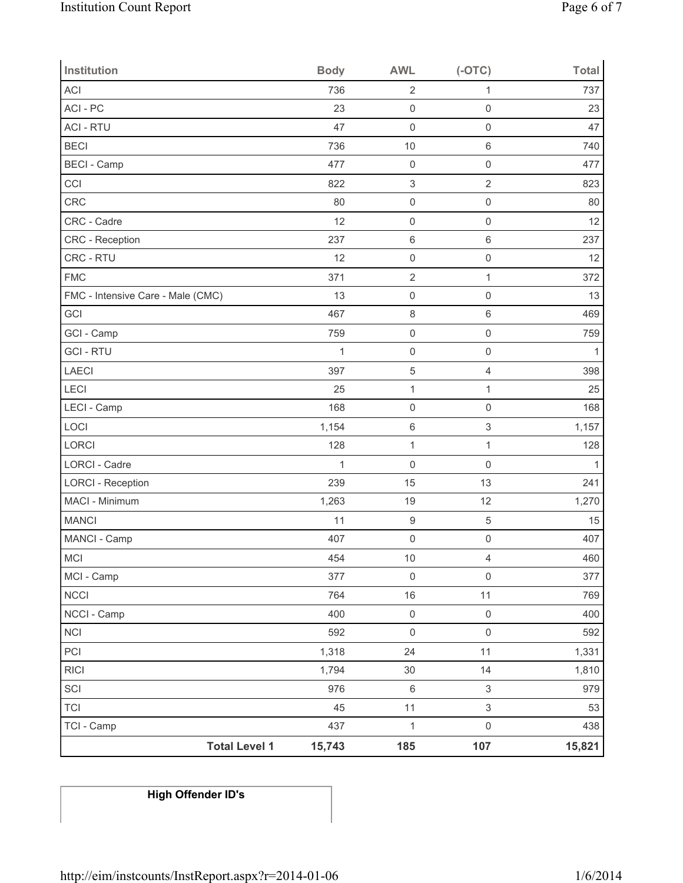| <b>Institution</b>                | <b>Body</b>  | <b>AWL</b>                | $(-OTC)$            | <b>Total</b> |
|-----------------------------------|--------------|---------------------------|---------------------|--------------|
| <b>ACI</b>                        | 736          | $\overline{2}$            | 1                   | 737          |
| ACI-PC                            | 23           | $\mathsf{O}\xspace$       | $\mathbf 0$         | 23           |
| <b>ACI - RTU</b>                  | 47           | $\mathsf{O}\xspace$       | $\mathsf{O}\xspace$ | 47           |
| <b>BECI</b>                       | 736          | 10                        | $\,6$               | 740          |
| <b>BECI</b> - Camp                | 477          | $\mathsf{O}\xspace$       | $\mathsf{O}\xspace$ | 477          |
| CCI                               | 822          | $\ensuremath{\mathsf{3}}$ | $\overline{2}$      | 823          |
| <b>CRC</b>                        | 80           | $\mathsf 0$               | $\mathsf{O}\xspace$ | 80           |
| CRC - Cadre                       | 12           | $\mathsf 0$               | $\mathsf{O}\xspace$ | 12           |
| CRC - Reception                   | 237          | $\,6\,$                   | $\,6\,$             | 237          |
| CRC - RTU                         | 12           | $\mathsf 0$               | $\mathsf{O}\xspace$ | 12           |
| <b>FMC</b>                        | 371          | $\overline{2}$            | $\mathbf{1}$        | 372          |
| FMC - Intensive Care - Male (CMC) | 13           | $\mathsf 0$               | $\mathbf 0$         | 13           |
| GCI                               | 467          | $\,8\,$                   | $\,6\,$             | 469          |
| GCI - Camp                        | 759          | $\mathsf 0$               | $\mathsf{O}\xspace$ | 759          |
| <b>GCI-RTU</b>                    | $\mathbf{1}$ | $\mathsf{O}\xspace$       | $\mathsf{O}\xspace$ | $\mathbf{1}$ |
| LAECI                             | 397          | $\,$ 5 $\,$               | $\overline{4}$      | 398          |
| LECI                              | 25           | $\mathbf 1$               | $\mathbf{1}$        | 25           |
| LECI - Camp                       | 168          | $\mathsf{O}\xspace$       | $\mathsf{O}\xspace$ | 168          |
| LOCI                              | 1,154        | $\,6\,$                   | $\mathsf 3$         | 1,157        |
| LORCI                             | 128          | $\mathbf 1$               | $\mathbf{1}$        | 128          |
| <b>LORCI - Cadre</b>              | $\mathbf{1}$ | $\mathsf{O}\xspace$       | $\mathbf 0$         | 1            |
| <b>LORCI - Reception</b>          | 239          | 15                        | 13                  | 241          |
| MACI - Minimum                    | 1,263        | 19                        | 12                  | 1,270        |
| <b>MANCI</b>                      | 11           | $\boldsymbol{9}$          | 5                   | 15           |
| MANCI - Camp                      | 407          | $\mathsf{O}\xspace$       | $\mathsf{O}\xspace$ | 407          |
| MCI                               | 454          | $10$                      | $\overline{4}$      | 460          |
| MCI - Camp                        | 377          | $\mathsf{O}\xspace$       | $\mathbf 0$         | 377          |
| <b>NCCI</b>                       | 764          | 16                        | 11                  | 769          |
| NCCI - Camp                       | 400          | $\mathsf 0$               | $\mathsf 0$         | 400          |
| <b>NCI</b>                        | 592          | $\mathsf 0$               | $\mathsf{O}\xspace$ | 592          |
| PCI                               | 1,318        | 24                        | 11                  | 1,331        |
| <b>RICI</b>                       | 1,794        | $30\,$                    | 14                  | 1,810        |
| SCI                               | 976          | $\,6\,$                   | $\mathsf 3$         | 979          |
| <b>TCI</b>                        | 45           | 11                        | $\mathfrak{S}$      | 53           |
| TCI - Camp                        | 437          | $\mathbf 1$               | $\mathsf{O}\xspace$ | 438          |
| <b>Total Level 1</b>              | 15,743       | 185                       | 107                 | 15,821       |

# **High Offender ID's**